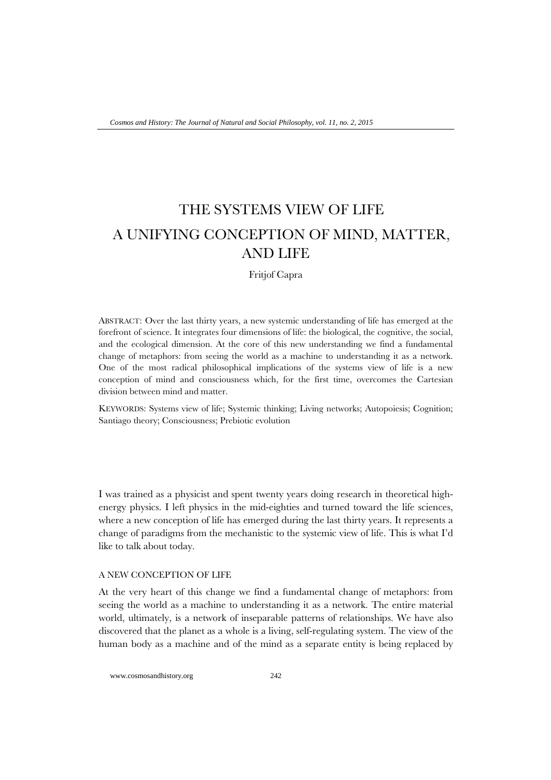# THE SYSTEMS VIEW OF LIFE A UNIFYING CONCEPTION OF MIND, MATTER, AND LIFE

Fritjof Capra

ABSTRACT: Over the last thirty years, a new systemic understanding of life has emerged at the forefront of science. It integrates four dimensions of life: the biological, the cognitive, the social, and the ecological dimension. At the core of this new understanding we find a fundamental change of metaphors: from seeing the world as a machine to understanding it as a network. One of the most radical philosophical implications of the systems view of life is a new conception of mind and consciousness which, for the first time, overcomes the Cartesian division between mind and matter.

KEYWORDS: Systems view of life; Systemic thinking; Living networks; Autopoiesis; Cognition; Santiago theory; Consciousness; Prebiotic evolution

I was trained as a physicist and spent twenty years doing research in theoretical highenergy physics. I left physics in the mid-eighties and turned toward the life sciences, where a new conception of life has emerged during the last thirty years. It represents a change of paradigms from the mechanistic to the systemic view of life. This is what I'd like to talk about today.

## A NEW CONCEPTION OF LIFE

At the very heart of this change we find a fundamental change of metaphors: from seeing the world as a machine to understanding it as a network. The entire material world, ultimately, is a network of inseparable patterns of relationships. We have also discovered that the planet as a whole is a living, self-regulating system. The view of the human body as a machine and of the mind as a separate entity is being replaced by

www.cosmosandhistory.org 242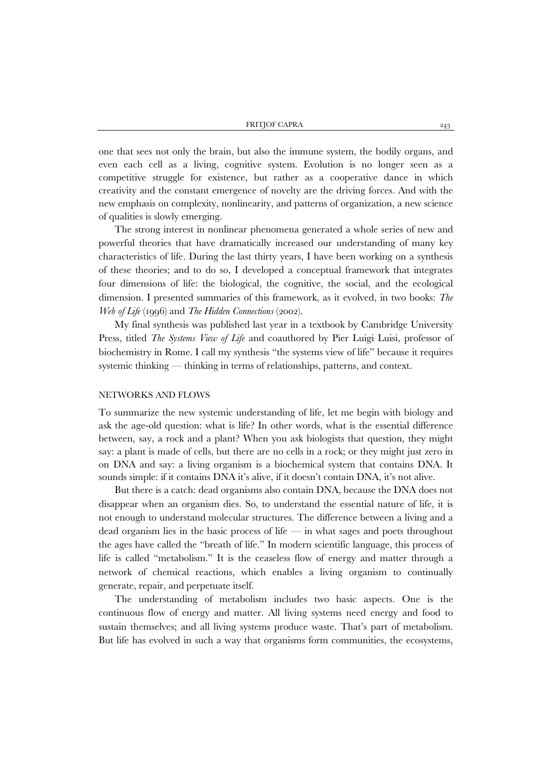one that sees not only the brain, but also the immune system, the bodily organs, and even each cell as a living, cognitive system. Evolution is no longer seen as a competitive struggle for existence, but rather as a cooperative dance in which creativity and the constant emergence of novelty are the driving forces. And with the new emphasis on complexity, nonlinearity, and patterns of organization, a new science of qualities is slowly emerging.

The strong interest in nonlinear phenomena generated a whole series of new and powerful theories that have dramatically increased our understanding of many key characteristics of life. During the last thirty years, I have been working on a synthesis of these theories; and to do so, I developed a conceptual framework that integrates four dimensions of life: the biological, the cognitive, the social, and the ecological dimension. I presented summaries of this framework, as it evolved, in two books: *The Web of Life* (1996) and *The Hidden Connections* (2002).

My final synthesis was published last year in a textbook by Cambridge University Press, titled *The Systems View of Life* and coauthored by Pier Luigi Luisi, professor of biochemistry in Rome. I call my synthesis "the systems view of life" because it requires systemic thinking — thinking in terms of relationships, patterns, and context.

### NETWORKS AND FLOWS

To summarize the new systemic understanding of life, let me begin with biology and ask the age-old question: what is life? In other words, what is the essential difference between, say, a rock and a plant? When you ask biologists that question, they might say: a plant is made of cells, but there are no cells in a rock; or they might just zero in on DNA and say: a living organism is a biochemical system that contains DNA. It sounds simple: if it contains DNA it's alive, if it doesn't contain DNA, it's not alive.

But there is a catch: dead organisms also contain DNA, because the DNA does not disappear when an organism dies. So, to understand the essential nature of life, it is not enough to understand molecular structures. The difference between a living and a dead organism lies in the basic process of life — in what sages and poets throughout the ages have called the "breath of life." In modern scientific language, this process of life is called "metabolism." It is the ceaseless flow of energy and matter through a network of chemical reactions, which enables a living organism to continually generate, repair, and perpetuate itself.

The understanding of metabolism includes two basic aspects. One is the continuous flow of energy and matter. All living systems need energy and food to sustain themselves; and all living systems produce waste. That's part of metabolism. But life has evolved in such a way that organisms form communities, the ecosystems,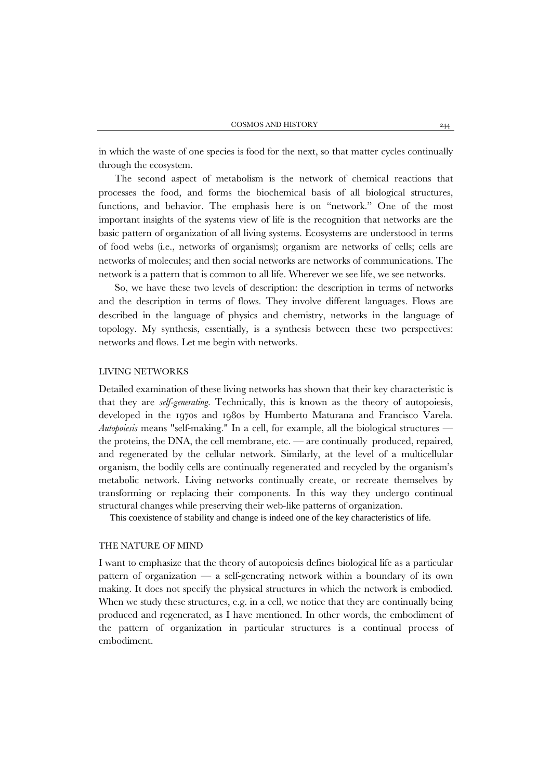in which the waste of one species is food for the next, so that matter cycles continually through the ecosystem.

The second aspect of metabolism is the network of chemical reactions that processes the food, and forms the biochemical basis of all biological structures, functions, and behavior. The emphasis here is on "network." One of the most important insights of the systems view of life is the recognition that networks are the basic pattern of organization of all living systems. Ecosystems are understood in terms of food webs (i.e., networks of organisms); organism are networks of cells; cells are networks of molecules; and then social networks are networks of communications. The network is a pattern that is common to all life. Wherever we see life, we see networks.

So, we have these two levels of description: the description in terms of networks and the description in terms of flows. They involve different languages. Flows are described in the language of physics and chemistry, networks in the language of topology. My synthesis, essentially, is a synthesis between these two perspectives: networks and flows. Let me begin with networks.

## LIVING NETWORKS

Detailed examination of these living networks has shown that their key characteristic is that they are *self-generating*. Technically, this is known as the theory of autopoiesis, developed in the 1970s and 1980s by Humberto Maturana and Francisco Varela. *Autopoiesis* means "self-making." In a cell, for example, all the biological structures the proteins, the DNA, the cell membrane, etc. — are continually produced, repaired, and regenerated by the cellular network. Similarly, at the level of a multicellular organism, the bodily cells are continually regenerated and recycled by the organism's metabolic network. Living networks continually create, or recreate themselves by transforming or replacing their components. In this way they undergo continual structural changes while preserving their web-like patterns of organization.

This coexistence of stability and change is indeed one of the key characteristics of life.

#### THE NATURE OF MIND

I want to emphasize that the theory of autopoiesis defines biological life as a particular pattern of organization — a self-generating network within a boundary of its own making. It does not specify the physical structures in which the network is embodied. When we study these structures, e.g. in a cell, we notice that they are continually being produced and regenerated, as I have mentioned. In other words, the embodiment of the pattern of organization in particular structures is a continual process of embodiment.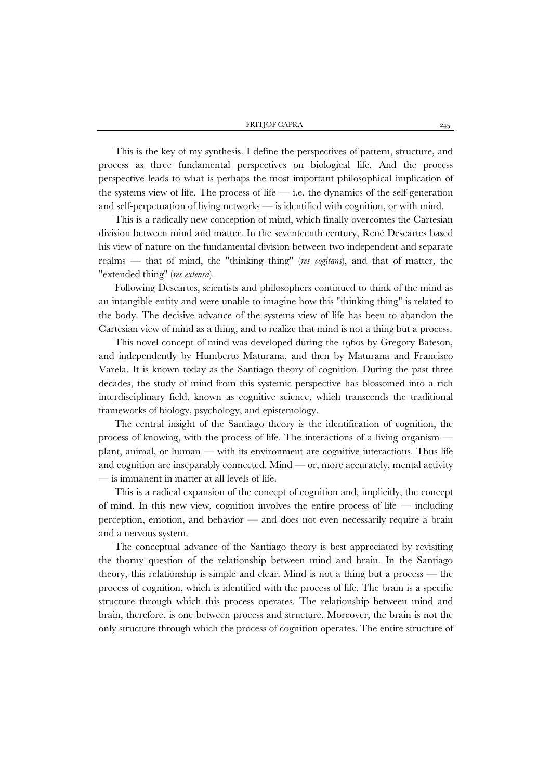This is the key of my synthesis. I define the perspectives of pattern, structure, and process as three fundamental perspectives on biological life. And the process perspective leads to what is perhaps the most important philosophical implication of the systems view of life. The process of life — i.e. the dynamics of the self-generation and self-perpetuation of living networks — is identified with cognition, or with mind.

This is a radically new conception of mind, which finally overcomes the Cartesian division between mind and matter. In the seventeenth century, René Descartes based his view of nature on the fundamental division between two independent and separate realms — that of mind, the "thinking thing" (*res cogitans*), and that of matter, the "extended thing" (*res extensa*).

Following Descartes, scientists and philosophers continued to think of the mind as an intangible entity and were unable to imagine how this "thinking thing" is related to the body. The decisive advance of the systems view of life has been to abandon the Cartesian view of mind as a thing, and to realize that mind is not a thing but a process.

This novel concept of mind was developed during the 1960s by Gregory Bateson, and independently by Humberto Maturana, and then by Maturana and Francisco Varela. It is known today as the Santiago theory of cognition. During the past three decades, the study of mind from this systemic perspective has blossomed into a rich interdisciplinary field, known as cognitive science, which transcends the traditional frameworks of biology, psychology, and epistemology.

The central insight of the Santiago theory is the identification of cognition, the process of knowing, with the process of life. The interactions of a living organism plant, animal, or human — with its environment are cognitive interactions. Thus life and cognition are inseparably connected. Mind  $\sim$  or, more accurately, mental activity — is immanent in matter at all levels of life.

This is a radical expansion of the concept of cognition and, implicitly, the concept of mind. In this new view, cognition involves the entire process of life  $-$  including perception, emotion, and behavior — and does not even necessarily require a brain and a nervous system.

The conceptual advance of the Santiago theory is best appreciated by revisiting the thorny question of the relationship between mind and brain. In the Santiago theory, this relationship is simple and clear. Mind is not a thing but a process — the process of cognition, which is identified with the process of life. The brain is a specific structure through which this process operates. The relationship between mind and brain, therefore, is one between process and structure. Moreover, the brain is not the only structure through which the process of cognition operates. The entire structure of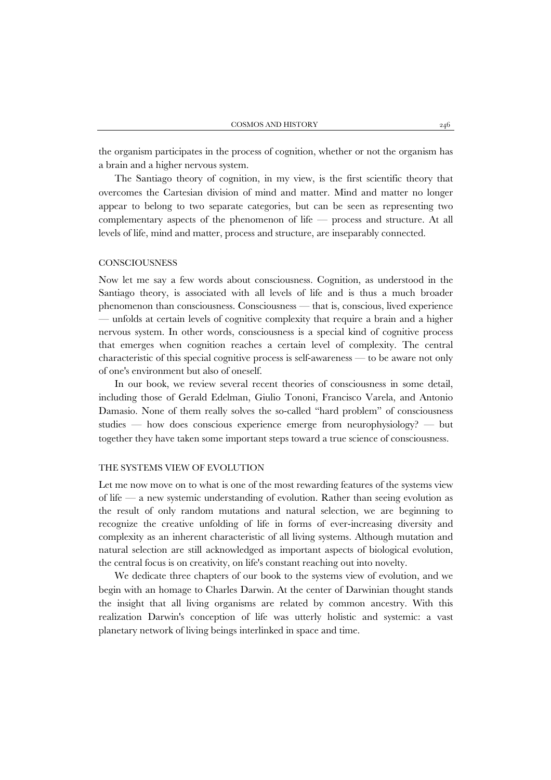the organism participates in the process of cognition, whether or not the organism has a brain and a higher nervous system.

The Santiago theory of cognition, in my view, is the first scientific theory that overcomes the Cartesian division of mind and matter. Mind and matter no longer appear to belong to two separate categories, but can be seen as representing two complementary aspects of the phenomenon of life — process and structure. At all levels of life, mind and matter, process and structure, are inseparably connected.

## **CONSCIOUSNESS**

Now let me say a few words about consciousness. Cognition, as understood in the Santiago theory, is associated with all levels of life and is thus a much broader phenomenon than consciousness. Consciousness — that is, conscious, lived experience — unfolds at certain levels of cognitive complexity that require a brain and a higher nervous system. In other words, consciousness is a special kind of cognitive process that emerges when cognition reaches a certain level of complexity. The central characteristic of this special cognitive process is self-awareness — to be aware not only of one's environment but also of oneself.

In our book, we review several recent theories of consciousness in some detail, including those of Gerald Edelman, Giulio Tononi, Francisco Varela, and Antonio Damasio. None of them really solves the so-called "hard problem" of consciousness studies — how does conscious experience emerge from neurophysiology? — but together they have taken some important steps toward a true science of consciousness.

#### THE SYSTEMS VIEW OF EVOLUTION

Let me now move on to what is one of the most rewarding features of the systems view of life — a new systemic understanding of evolution. Rather than seeing evolution as the result of only random mutations and natural selection, we are beginning to recognize the creative unfolding of life in forms of ever-increasing diversity and complexity as an inherent characteristic of all living systems. Although mutation and natural selection are still acknowledged as important aspects of biological evolution, the central focus is on creativity, on life's constant reaching out into novelty.

We dedicate three chapters of our book to the systems view of evolution, and we begin with an homage to Charles Darwin. At the center of Darwinian thought stands the insight that all living organisms are related by common ancestry. With this realization Darwin's conception of life was utterly holistic and systemic: a vast planetary network of living beings interlinked in space and time.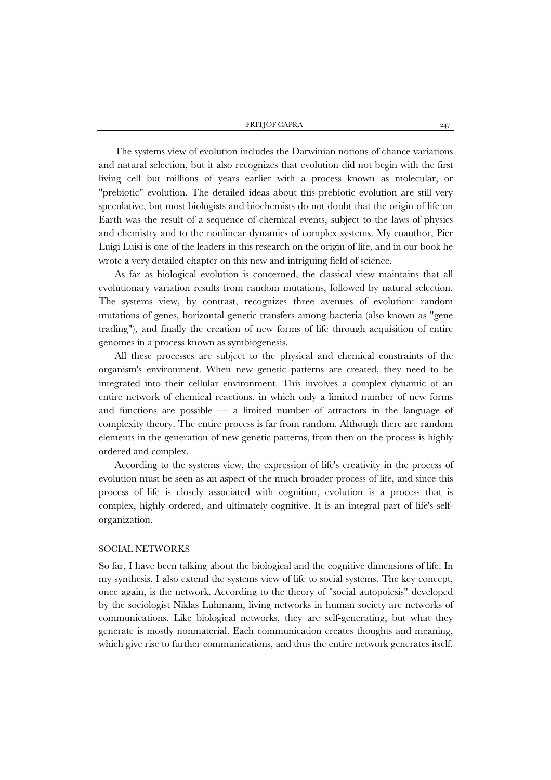The systems view of evolution includes the Darwinian notions of chance variations and natural selection, but it also recognizes that evolution did not begin with the first living cell but millions of years earlier with a process known as molecular, or "prebiotic" evolution. The detailed ideas about this prebiotic evolution are still very speculative, but most biologists and biochemists do not doubt that the origin of life on Earth was the result of a sequence of chemical events, subject to the laws of physics and chemistry and to the nonlinear dynamics of complex systems. My coauthor, Pier Luigi Luisi is one of the leaders in this research on the origin of life, and in our book he wrote a very detailed chapter on this new and intriguing field of science.

As far as biological evolution is concerned, the classical view maintains that all evolutionary variation results from random mutations, followed by natural selection. The systems view, by contrast, recognizes three avenues of evolution: random mutations of genes, horizontal genetic transfers among bacteria (also known as "gene trading"), and finally the creation of new forms of life through acquisition of entire genomes in a process known as symbiogenesis.

All these processes are subject to the physical and chemical constraints of the organism's environment. When new genetic patterns are created, they need to be integrated into their cellular environment. This involves a complex dynamic of an entire network of chemical reactions, in which only a limited number of new forms and functions are possible — a limited number of attractors in the language of complexity theory. The entire process is far from random. Although there are random elements in the generation of new genetic patterns, from then on the process is highly ordered and complex.

According to the systems view, the expression of life's creativity in the process of evolution must be seen as an aspect of the much broader process of life, and since this process of life is closely associated with cognition, evolution is a process that is complex, highly ordered, and ultimately cognitive. It is an integral part of life's selforganization.

#### SOCIAL NETWORKS

So far, I have been talking about the biological and the cognitive dimensions of life. In my synthesis, I also extend the systems view of life to social systems. The key concept, once again, is the network. According to the theory of "social autopoiesis" developed by the sociologist Niklas Luhmann, living networks in human society are networks of communications. Like biological networks, they are self-generating, but what they generate is mostly nonmaterial. Each communication creates thoughts and meaning, which give rise to further communications, and thus the entire network generates itself.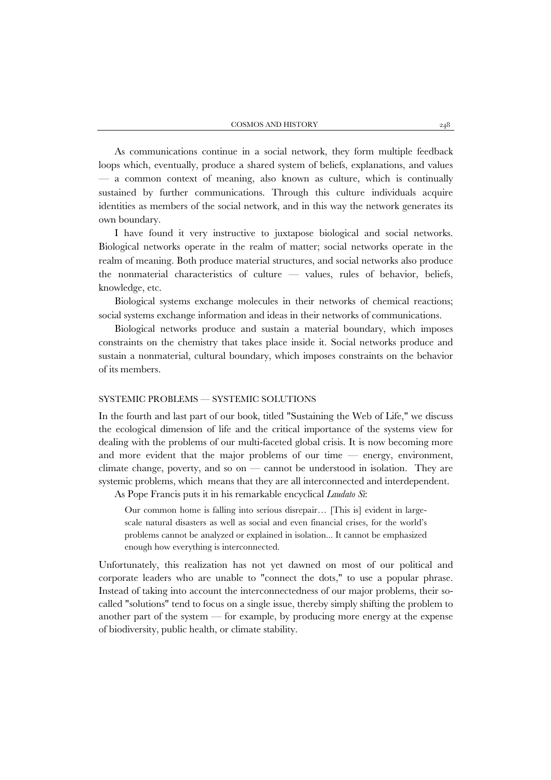As communications continue in a social network, they form multiple feedback loops which, eventually, produce a shared system of beliefs, explanations, and values — a common context of meaning, also known as culture, which is continually sustained by further communications. Through this culture individuals acquire identities as members of the social network, and in this way the network generates its own boundary.

I have found it very instructive to juxtapose biological and social networks. Biological networks operate in the realm of matter; social networks operate in the realm of meaning. Both produce material structures, and social networks also produce the nonmaterial characteristics of culture — values, rules of behavior, beliefs, knowledge, etc.

Biological systems exchange molecules in their networks of chemical reactions; social systems exchange information and ideas in their networks of communications.

Biological networks produce and sustain a material boundary, which imposes constraints on the chemistry that takes place inside it. Social networks produce and sustain a nonmaterial, cultural boundary, which imposes constraints on the behavior of its members.

# SYSTEMIC PROBLEMS — SYSTEMIC SOLUTIONS

In the fourth and last part of our book, titled "Sustaining the Web of Life," we discuss the ecological dimension of life and the critical importance of the systems view for dealing with the problems of our multi-faceted global crisis. It is now becoming more and more evident that the major problems of our time — energy, environment, climate change, poverty, and so on — cannot be understood in isolation. They are systemic problems, which means that they are all interconnected and interdependent.

As Pope Francis puts it in his remarkable encyclical *Laudato Sì*:

Our common home is falling into serious disrepair… [This is] evident in largescale natural disasters as well as social and even financial crises, for the world's problems cannot be analyzed or explained in isolation... It cannot be emphasized enough how everything is interconnected.

Unfortunately, this realization has not yet dawned on most of our political and corporate leaders who are unable to "connect the dots," to use a popular phrase. Instead of taking into account the interconnectedness of our major problems, their socalled "solutions" tend to focus on a single issue, thereby simply shifting the problem to another part of the system — for example, by producing more energy at the expense of biodiversity, public health, or climate stability.